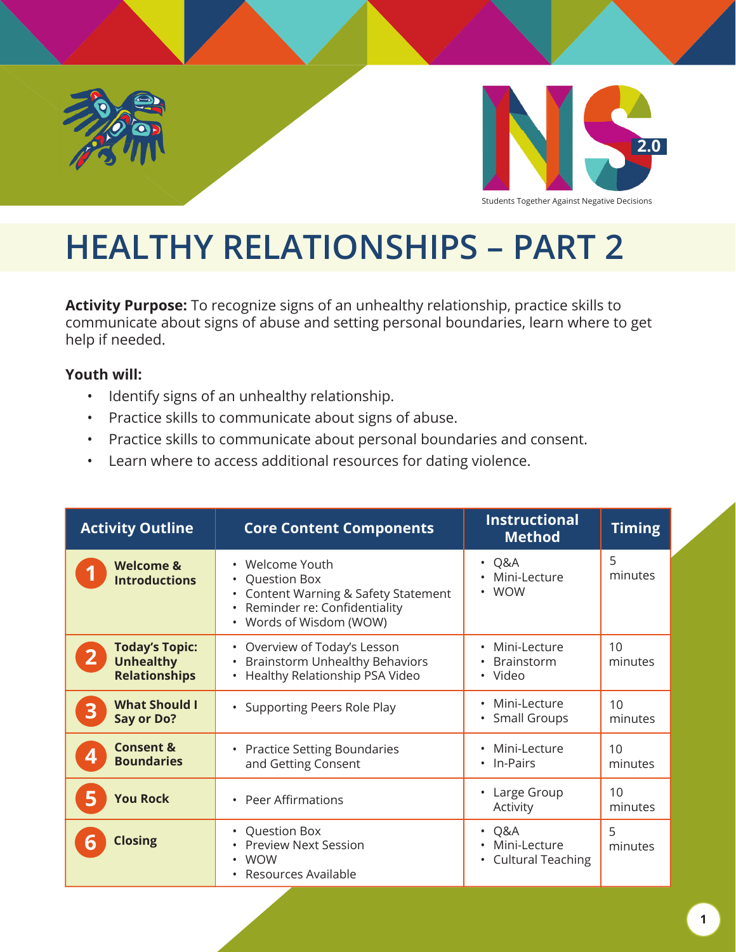



# **HEALTHY RELATIONSHIPS – PART 2**

**Activity Purpose:** To recognize signs of an unhealthy relationship, practice skills to communicate about signs of abuse and setting personal boundaries, learn where to get help if needed.

#### **Youth will:**

- Identify signs of an unhealthy relationship.
- Practice skills to communicate about signs of abuse.
- Practice skills to communicate about personal boundaries and consent.
- Learn where to access additional resources for dating violence.

| <b>Activity Outline</b>                                                | <b>Core Content Components</b>                                                                                                            | <b>Instructional</b><br><b>Method</b>                                                  | <b>Timing</b> |
|------------------------------------------------------------------------|-------------------------------------------------------------------------------------------------------------------------------------------|----------------------------------------------------------------------------------------|---------------|
| <b>Welcome &amp;</b><br><b>Introductions</b>                           | • Welcome Youth<br><b>Question Box</b><br>Content Warning & Safety Statement<br>• Reminder re: Confidentiality<br>• Words of Wisdom (WOW) | Q&A<br>$\bullet$<br>Mini-Lecture<br><b>WOW</b><br>$\bullet$                            | 5<br>minutes  |
| <b>Today's Topic:</b><br>2<br><b>Unhealthy</b><br><b>Relationships</b> | • Overview of Today's Lesson<br><b>Brainstorm Unhealthy Behaviors</b><br>• Healthy Relationship PSA Video                                 | Mini-Lecture<br>$\bullet$<br><b>Brainstorm</b><br>• Video                              | 10<br>minutes |
| <b>What Should I</b><br>3<br>Say or Do?                                | • Supporting Peers Role Play                                                                                                              | Mini-Lecture<br>$\bullet$<br><b>Small Groups</b><br>$\bullet$                          | 10<br>minutes |
| <b>Consent &amp;</b><br><b>Boundaries</b>                              | • Practice Setting Boundaries<br>and Getting Consent                                                                                      | Mini-Lecture<br>$\bullet$<br>In-Pairs<br>$\bullet$                                     | 10<br>minutes |
| <b>You Rock</b>                                                        | • Peer Affirmations                                                                                                                       | Large Group<br>Activity                                                                | 10<br>minutes |
| <b>Closing</b>                                                         | • Question Box<br><b>Preview Next Session</b><br><b>WOW</b><br>• Resources Available                                                      | Q&A<br>$\bullet$<br>Mini-Lecture<br>$\bullet$<br><b>Cultural Teaching</b><br>$\bullet$ | 5<br>minutes  |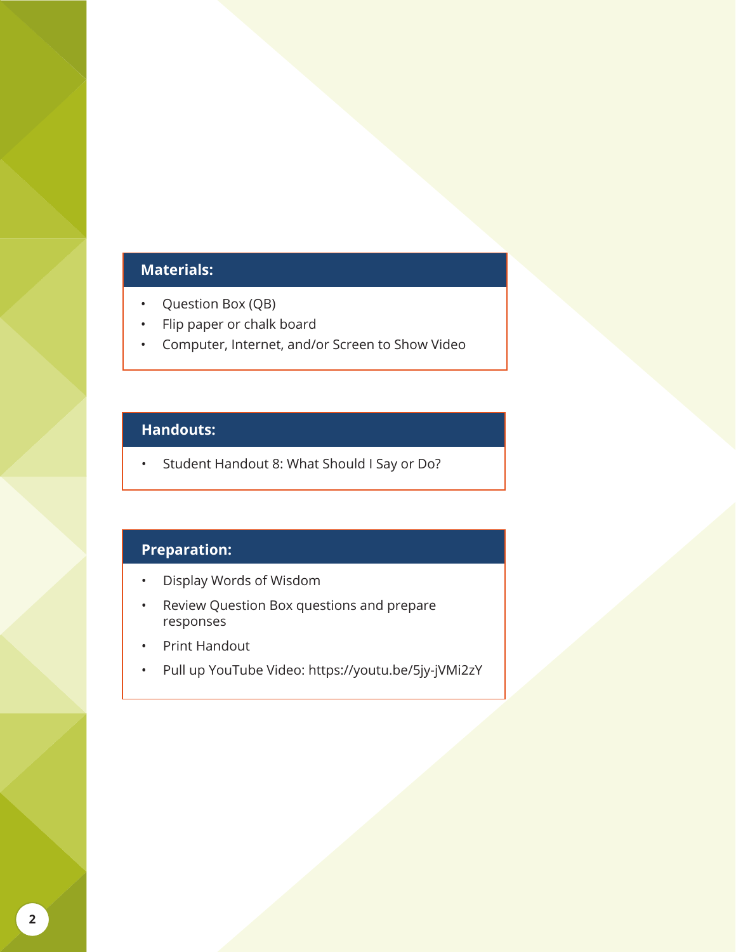### **Materials:**

- Question Box (QB)
- Flip paper or chalk board
- Computer, Internet, and/or Screen to Show Video

#### **Handouts:**

• Student Handout 8: What Should I Say or Do?

#### **Preparation:**

- Display Words of Wisdom
- Review Question Box questions and prepare responses
- Print Handout
- Pull up YouTube Video: https://youtu.be/5jy-jVMi2zY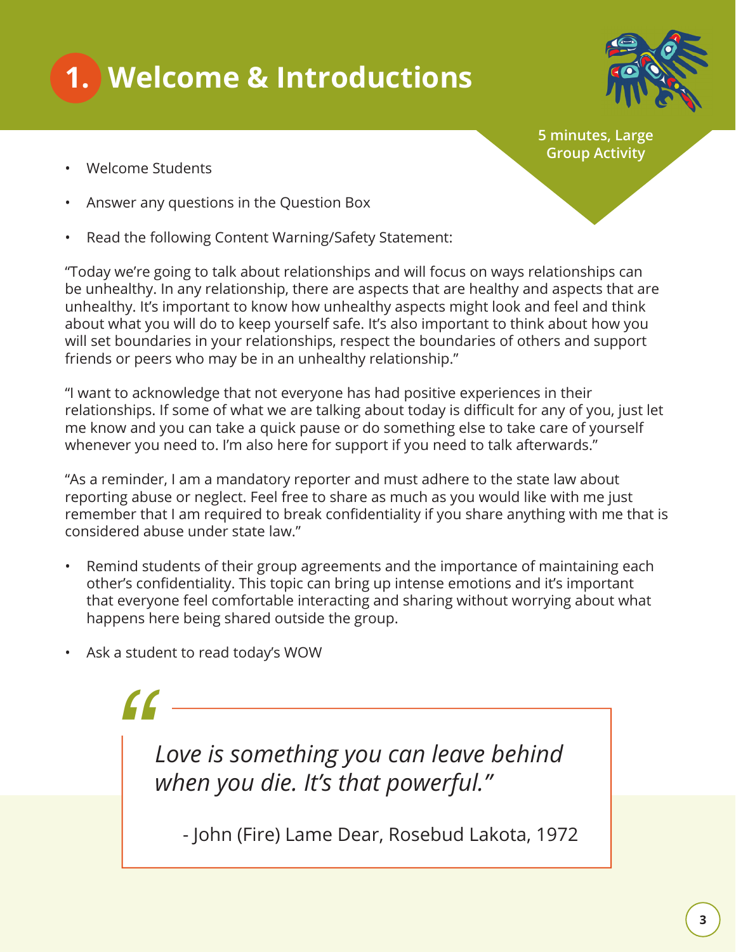



**5 minutes, Large Group Activity**

- Welcome Students
- Answer any questions in the Question Box
- Read the following Content Warning/Safety Statement:

"Today we're going to talk about relationships and will focus on ways relationships can be unhealthy. In any relationship, there are aspects that are healthy and aspects that are unhealthy. It's important to know how unhealthy aspects might look and feel and think about what you will do to keep yourself safe. It's also important to think about how you will set boundaries in your relationships, respect the boundaries of others and support friends or peers who may be in an unhealthy relationship."

"I want to acknowledge that not everyone has had positive experiences in their relationships. If some of what we are talking about today is difficult for any of you, just let me know and you can take a quick pause or do something else to take care of yourself whenever you need to. I'm also here for support if you need to talk afterwards."

"As a reminder, I am a mandatory reporter and must adhere to the state law about reporting abuse or neglect. Feel free to share as much as you would like with me just remember that I am required to break confidentiality if you share anything with me that is considered abuse under state law."

- Remind students of their group agreements and the importance of maintaining each other's confidentiality. This topic can bring up intense emotions and it's important that everyone feel comfortable interacting and sharing without worrying about what happens here being shared outside the group.
- Ask a student to read today's WOW

*Love is something you can leave behind when you die. It's that powerful." "*

- John (Fire) Lame Dear, Rosebud Lakota, 1972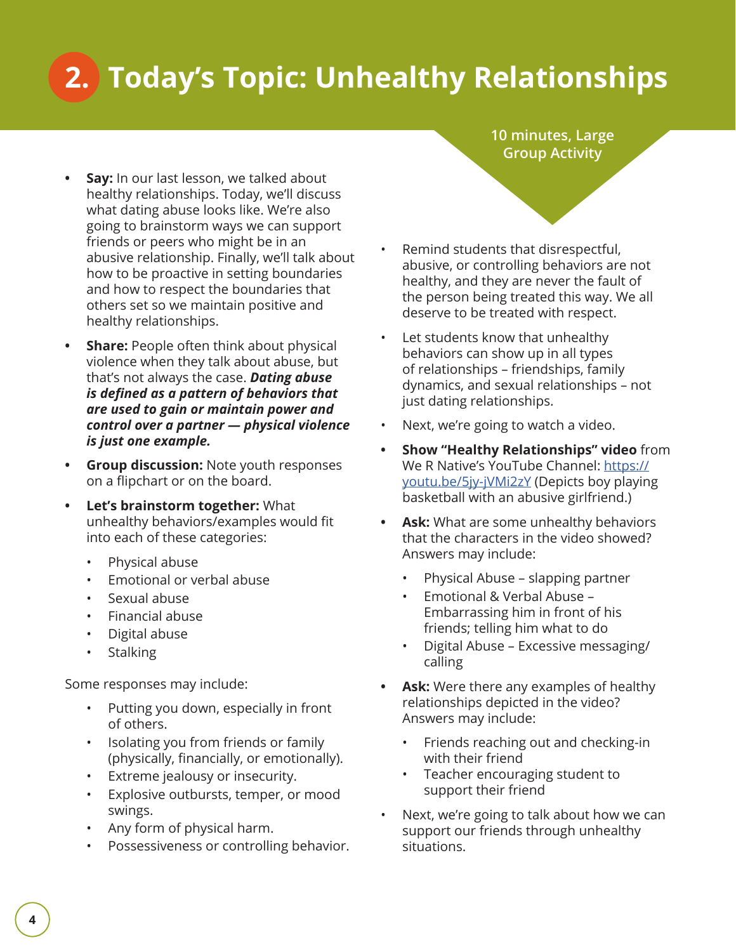# **2. Today's Topic: Unhealthy Relationships**

- **• Say:** In our last lesson, we talked about healthy relationships. Today, we'll discuss what dating abuse looks like. We're also going to brainstorm ways we can support friends or peers who might be in an abusive relationship. Finally, we'll talk about how to be proactive in setting boundaries and how to respect the boundaries that others set so we maintain positive and healthy relationships.
- **• Share:** People often think about physical violence when they talk about abuse, but that's not always the case. *Dating abuse is defined as a pattern of behaviors that are used to gain or maintain power and control over a partner — physical violence is just one example.*
- **• Group discussion:** Note youth responses on a flipchart or on the board.
- **• Let's brainstorm together:** What unhealthy behaviors/examples would fit into each of these categories:
	- Physical abuse
	- Emotional or verbal abuse
	- Sexual abuse
	- Financial abuse
	- Digital abuse
	- **Stalking**

Some responses may include:

- Putting you down, especially in front of others.
- Isolating you from friends or family (physically, financially, or emotionally).
- Extreme jealousy or insecurity.
- Explosive outbursts, temper, or mood swings.
- Any form of physical harm.
- Possessiveness or controlling behavior.

**10 minutes, Large Group Activity**

- Remind students that disrespectful, abusive, or controlling behaviors are not healthy, and they are never the fault of the person being treated this way. We all deserve to be treated with respect.
- Let students know that unhealthy behaviors can show up in all types of relationships – friendships, family dynamics, and sexual relationships – not just dating relationships.
- Next, we're going to watch a video.
- **• Show "Healthy Relationships" video** from We R Native's YouTube Channel: https:// youtu.be/5jy-jVMi2zY (Depicts boy playing basketball with an abusive girlfriend.)
- **• Ask:** What are some unhealthy behaviors that the characters in the video showed? Answers may include:
	- Physical Abuse slapping partner
	- Emotional & Verbal Abuse Embarrassing him in front of his friends; telling him what to do
	- Digital Abuse Excessive messaging/ calling
- **• Ask:** Were there any examples of healthy relationships depicted in the video? Answers may include:
	- Friends reaching out and checking-in with their friend
	- Teacher encouraging student to support their friend
- Next, we're going to talk about how we can support our friends through unhealthy situations.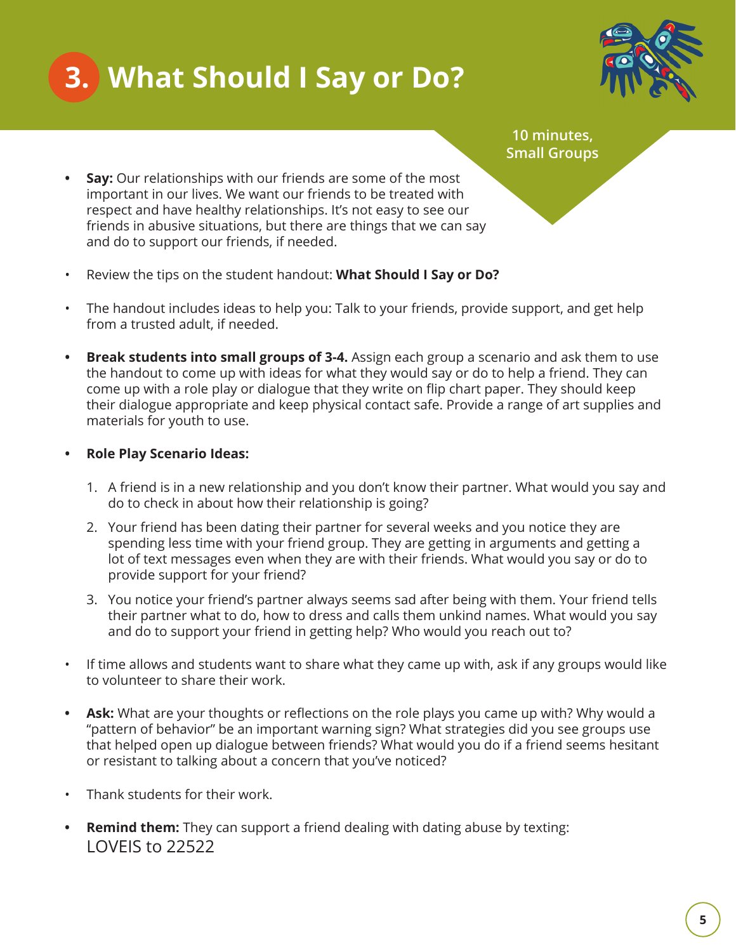## **3. What Should I Say or Do?**



**10 minutes, Small Groups**

- **Say:** Our relationships with our friends are some of the most important in our lives. We want our friends to be treated with respect and have healthy relationships. It's not easy to see our friends in abusive situations, but there are things that we can say and do to support our friends, if needed.
- Review the tips on the student handout: **What Should I Say or Do?**
- The handout includes ideas to help you: Talk to your friends, provide support, and get help from a trusted adult, if needed.
- **Break students into small groups of 3-4.** Assign each group a scenario and ask them to use the handout to come up with ideas for what they would say or do to help a friend. They can come up with a role play or dialogue that they write on flip chart paper. They should keep their dialogue appropriate and keep physical contact safe. Provide a range of art supplies and materials for youth to use.
- **Role Play Scenario Ideas:** 
	- 1. A friend is in a new relationship and you don't know their partner. What would you say and do to check in about how their relationship is going?
	- 2. Your friend has been dating their partner for several weeks and you notice they are spending less time with your friend group. They are getting in arguments and getting a lot of text messages even when they are with their friends. What would you say or do to provide support for your friend?
	- 3. You notice your friend's partner always seems sad after being with them. Your friend tells their partner what to do, how to dress and calls them unkind names. What would you say and do to support your friend in getting help? Who would you reach out to?
- If time allows and students want to share what they came up with, ask if any groups would like to volunteer to share their work.
- Ask: What are your thoughts or reflections on the role plays you came up with? Why would a "pattern of behavior" be an important warning sign? What strategies did you see groups use that helped open up dialogue between friends? What would you do if a friend seems hesitant or resistant to talking about a concern that you've noticed?
- Thank students for their work.
- **Remind them:** They can support a friend dealing with dating abuse by texting: LOVEIS to 22522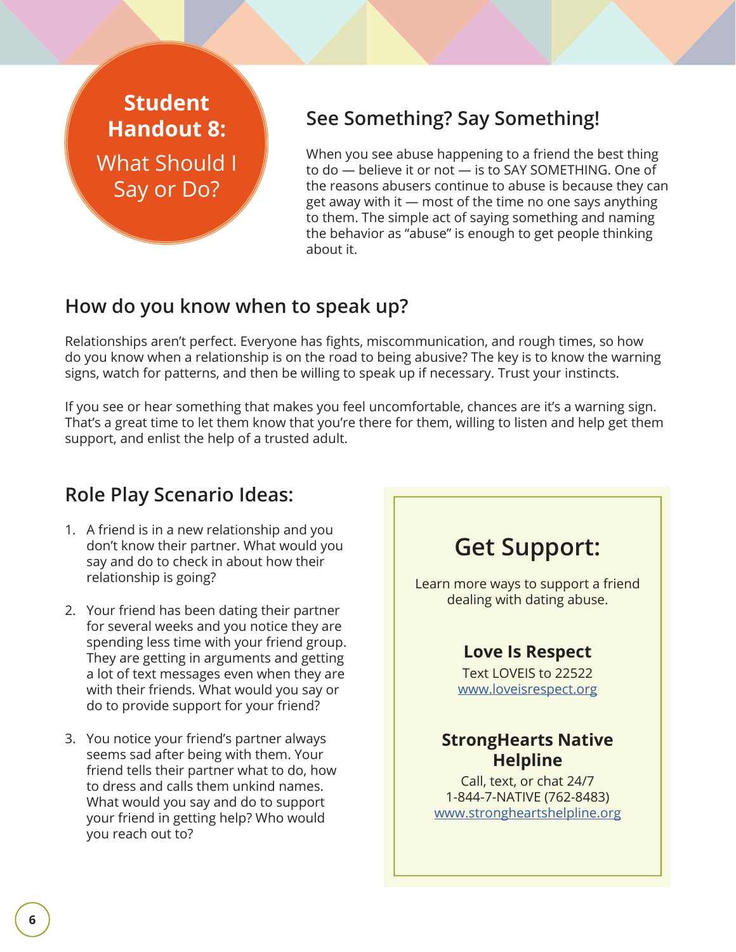## **Student Handout 8:**  What Should I Say or Do?

## **See Something? Say Something!**

When you see abuse happening to a friend the best thing to do — believe it or not — is to SAY SOMETHING. One of the reasons abusers continue to abuse is because they can get away with it — most of the time no one says anything to them. The simple act of saying something and naming the behavior as "abuse" is enough to get people thinking about it.

### **How do you know when to speak up?**

Relationships aren't perfect. Everyone has fights, miscommunication, and rough times, so how do you know when a relationship is on the road to being abusive? The key is to know the warning signs, watch for patterns, and then be willing to speak up if necessary. Trust your instincts.

If you see or hear something that makes you feel uncomfortable, chances are it's a warning sign. That's a great time to let them know that you're there for them, willing to listen and help get them support, and enlist the help of a trusted adult.

### **Role Play Scenario Ideas:**

- 1. A friend is in a new relationship and you don't know their partner. What would you say and do to check in about how their relationship is going?
- 2. Your friend has been dating their partner for several weeks and you notice they are spending less time with your friend group. They are getting in arguments and getting a lot of text messages even when they are with their friends. What would you say or do to provide support for your friend?
- 3. You notice your friend's partner always seems sad after being with them. Your friend tells their partner what to do, how to dress and calls them unkind names. What would you say and do to support your friend in getting help? Who would you reach out to?

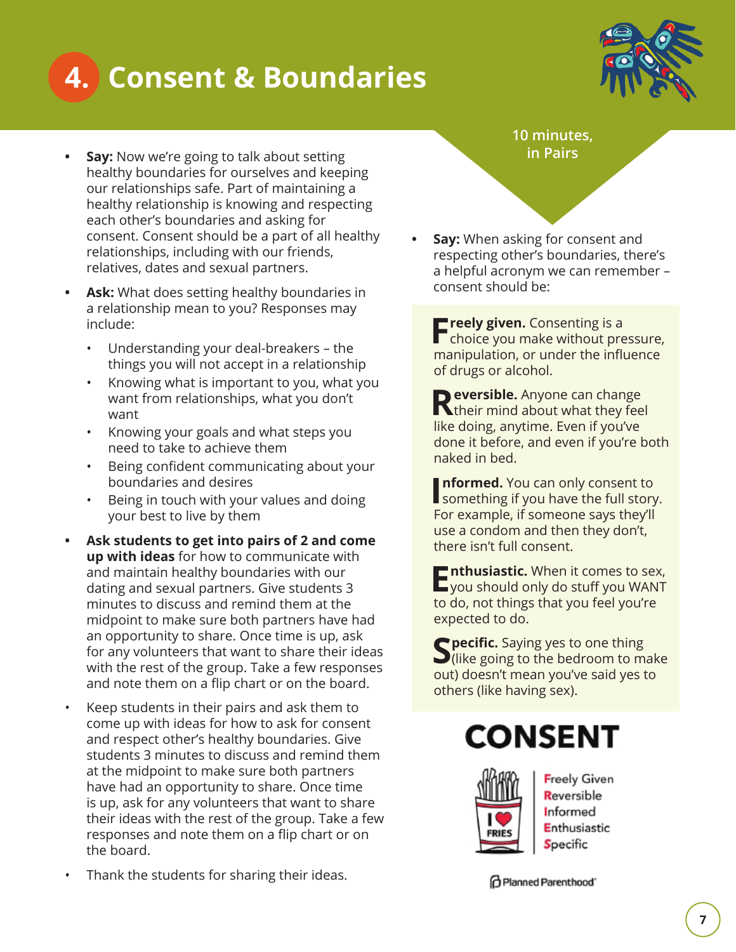## **4. Consent & Boundaries**



- **Say:** Now we're going to talk about setting healthy boundaries for ourselves and keeping our relationships safe. Part of maintaining a healthy relationship is knowing and respecting each other's boundaries and asking for consent. Consent should be a part of all healthy relationships, including with our friends, relatives, dates and sexual partners.
- **Ask:** What does setting healthy boundaries in a relationship mean to you? Responses may include:
	- Understanding your deal-breakers the things you will not accept in a relationship
	- Knowing what is important to you, what you want from relationships, what you don't want
	- Knowing your goals and what steps you need to take to achieve them
	- Being confident communicating about your boundaries and desires
	- Being in touch with your values and doing your best to live by them
- **Ask students to get into pairs of 2 and come up with ideas** for how to communicate with and maintain healthy boundaries with our dating and sexual partners. Give students 3 minutes to discuss and remind them at the midpoint to make sure both partners have had an opportunity to share. Once time is up, ask for any volunteers that want to share their ideas with the rest of the group. Take a few responses and note them on a flip chart or on the board.
- Keep students in their pairs and ask them to come up with ideas for how to ask for consent and respect other's healthy boundaries. Give students 3 minutes to discuss and remind them at the midpoint to make sure both partners have had an opportunity to share. Once time is up, ask for any volunteers that want to share their ideas with the rest of the group. Take a few responses and note them on a flip chart or on the board.
- Thank the students for sharing their ideas.

**10 minutes, in Pairs**

**Say:** When asking for consent and respecting other's boundaries, there's a helpful acronym we can remember – consent should be:

**Firely given.** Consenting is a choice you make without pressure, manipulation, or under the influence of drugs or alcohol.

**Reversible.** Anyone can change their mind about what they feel like doing, anytime. Even if you've done it before, and even if you're both naked in bed.

**Informed.** You can only consent to something if you have the full story. **nformed.** You can only consent to For example, if someone says they'll use a condom and then they don't, there isn't full consent.

**Enthusiastic.** When it comes to sex, you should only do stuff you WANT to do, not things that you feel you're expected to do.

**SPECIFIC.** Saying yes to one thing  $\bigcup$  (like going to the bedroom to make out) doesn't mean you've said yes to others (like having sex).

## **CONSENT**



**Freely Given** Reversible Informed Enthusiastic Specific

**O** Planned Parenthood'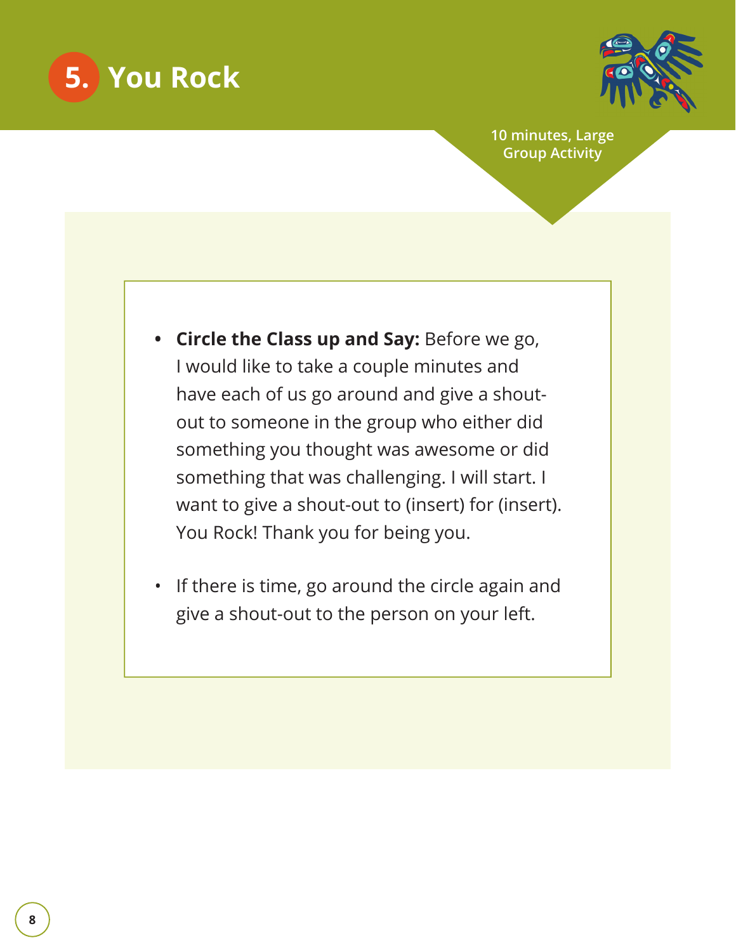



**10 minutes, Large Group Activity**

- **Circle the Class up and Say:** Before we go, I would like to take a couple minutes and have each of us go around and give a shoutout to someone in the group who either did something you thought was awesome or did something that was challenging. I will start. I want to give a shout-out to (insert) for (insert). You Rock! Thank you for being you.
- If there is time, go around the circle again and give a shout-out to the person on your left.